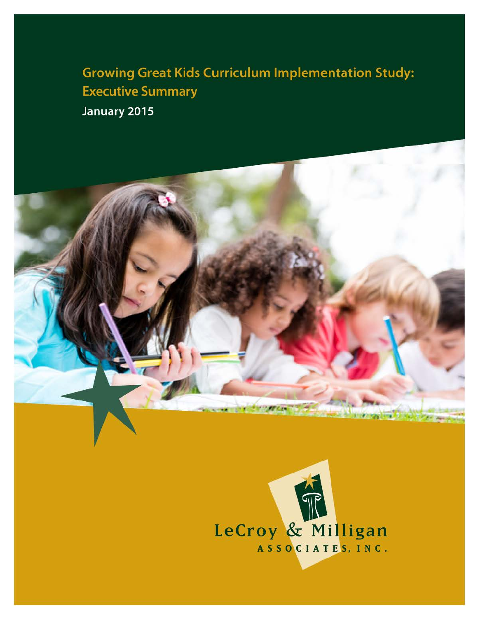**Growing Great Kids Curriculum Implementation Study: Executive Summary** January 2015

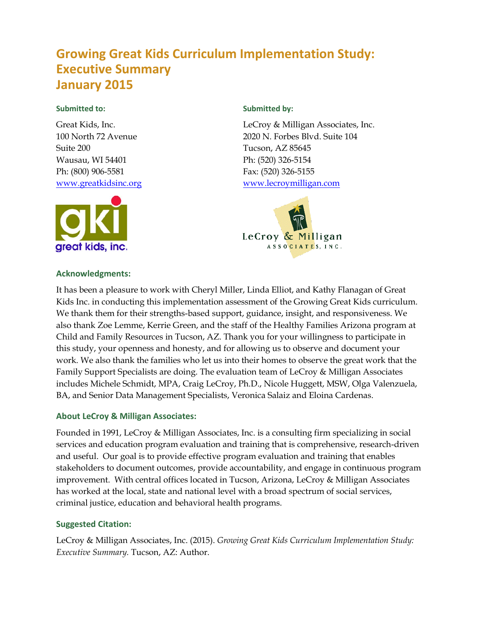## **Growing Great Kids Curriculum Implementation Study: Executive Summary January 2015**

#### **Submitted to:**

Great Kids, Inc. 100 North 72 Avenue Suite 200 Wausau, WI 54401 Ph: (800) 906-5581 [www.greatkidsinc.org](http://www.greatkidsinc.org/)



#### **Acknowledgments:**

#### **Submitted by:**

LeCroy & Milligan Associates, Inc. 2020 N. Forbes Blvd. Suite 104 Tucson, AZ 85645 Ph: (520) 326-5154 Fax: (520) 326-5155 [www.lecroymilligan.com](http://www.lecroymilligan.com/)



It has been a pleasure to work with Cheryl Miller, Linda Elliot, and Kathy Flanagan of Great Kids Inc. in conducting this implementation assessment of the Growing Great Kids curriculum. We thank them for their strengths-based support, guidance, insight, and responsiveness. We also thank Zoe Lemme, Kerrie Green, and the staff of the Healthy Families Arizona program at Child and Family Resources in Tucson, AZ. Thank you for your willingness to participate in this study, your openness and honesty, and for allowing us to observe and document your work. We also thank the families who let us into their homes to observe the great work that the Family Support Specialists are doing. The evaluation team of LeCroy & Milligan Associates includes Michele Schmidt, MPA, Craig LeCroy, Ph.D., Nicole Huggett, MSW, Olga Valenzuela, BA, and Senior Data Management Specialists, Veronica Salaiz and Eloina Cardenas.

#### **About LeCroy & Milligan Associates:**

Founded in 1991, LeCroy & Milligan Associates, Inc. is a consulting firm specializing in social services and education program evaluation and training that is comprehensive, research-driven and useful. Our goal is to provide effective program evaluation and training that enables stakeholders to document outcomes, provide accountability, and engage in continuous program improvement. With central offices located in Tucson, Arizona, LeCroy & Milligan Associates has worked at the local, state and national level with a broad spectrum of social services, criminal justice, education and behavioral health programs.

#### **Suggested Citation:**

LeCroy & Milligan Associates, Inc. (2015). *Growing Great Kids Curriculum Implementation Study: Executive Summary.* Tucson, AZ: Author.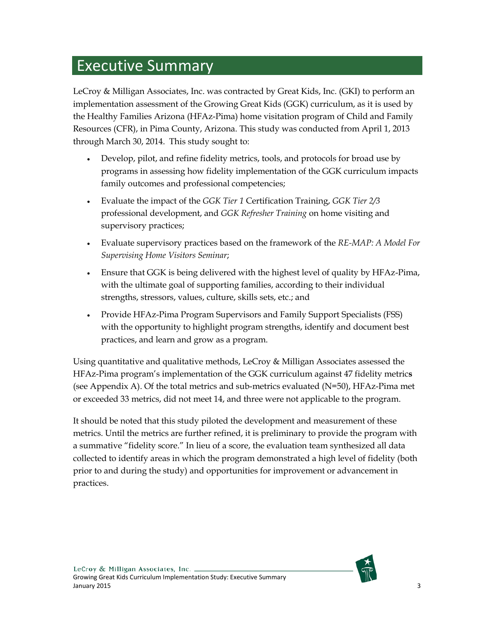# Executive Summary

LeCroy & Milligan Associates, Inc. was contracted by Great Kids, Inc. (GKI) to perform an implementation assessment of the Growing Great Kids (GGK) curriculum, as it is used by the Healthy Families Arizona (HFAz-Pima) home visitation program of Child and Family Resources (CFR), in Pima County, Arizona. This study was conducted from April 1, 2013 through March 30, 2014. This study sought to:

- Develop, pilot, and refine fidelity metrics, tools, and protocols for broad use by programs in assessing how fidelity implementation of the GGK curriculum impacts family outcomes and professional competencies;
- Evaluate the impact of the *GGK Tier 1* Certification Training, *GGK Tier 2/3* professional development, and *GGK Refresher Training* on home visiting and supervisory practices;
- Evaluate supervisory practices based on the framework of the *RE-MAP: A Model For Supervising Home Visitors Seminar*;
- Ensure that GGK is being delivered with the highest level of quality by HFAz-Pima, with the ultimate goal of supporting families, according to their individual strengths, stressors, values, culture, skills sets, etc.; and
- Provide HFAz-Pima Program Supervisors and Family Support Specialists (FSS) with the opportunity to highlight program strengths, identify and document best practices, and learn and grow as a program.

Using quantitative and qualitative methods, LeCroy & Milligan Associates assessed the HFAz-Pima program's implementation of the GGK curriculum against 47 fidelity metric**s** (see Appendix A). Of the total metrics and sub-metrics evaluated (N=50), HFAz-Pima met or exceeded 33 metrics, did not meet 14, and three were not applicable to the program.

It should be noted that this study piloted the development and measurement of these metrics. Until the metrics are further refined, it is preliminary to provide the program with a summative "fidelity score." In lieu of a score, the evaluation team synthesized all data collected to identify areas in which the program demonstrated a high level of fidelity (both prior to and during the study) and opportunities for improvement or advancement in practices.

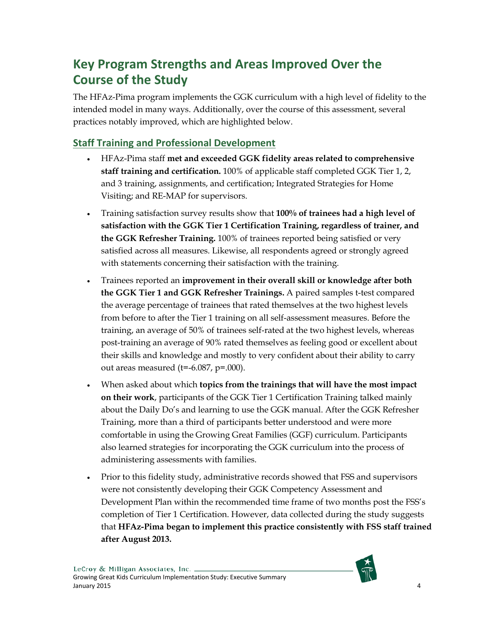# **Key Program Strengths and Areas Improved Over the Course of the Study**

The HFAz-Pima program implements the GGK curriculum with a high level of fidelity to the intended model in many ways. Additionally, over the course of this assessment, several practices notably improved, which are highlighted below.

### **Staff Training and Professional Development**

- HFAz-Pima staff **met and exceeded GGK fidelity areas related to comprehensive staff training and certification.** 100% of applicable staff completed GGK Tier 1, 2, and 3 training, assignments, and certification; Integrated Strategies for Home Visiting; and RE-MAP for supervisors.
- Training satisfaction survey results show that **100% of trainees had a high level of satisfaction with the GGK Tier 1 Certification Training, regardless of trainer, and the GGK Refresher Training.** 100% of trainees reported being satisfied or very satisfied across all measures. Likewise, all respondents agreed or strongly agreed with statements concerning their satisfaction with the training.
- Trainees reported an **improvement in their overall skill or knowledge after both the GGK Tier 1 and GGK Refresher Trainings.** A paired samples t-test compared the average percentage of trainees that rated themselves at the two highest levels from before to after the Tier 1 training on all self-assessment measures. Before the training, an average of 50% of trainees self-rated at the two highest levels, whereas post-training an average of 90% rated themselves as feeling good or excellent about their skills and knowledge and mostly to very confident about their ability to carry out areas measured ( $t=$ -6.087,  $p=$ .000).
- When asked about which **topics from the trainings that will have the most impact on their work**, participants of the GGK Tier 1 Certification Training talked mainly about the Daily Do's and learning to use the GGK manual. After the GGK Refresher Training, more than a third of participants better understood and were more comfortable in using the Growing Great Families (GGF) curriculum. Participants also learned strategies for incorporating the GGK curriculum into the process of administering assessments with families.
- Prior to this fidelity study, administrative records showed that FSS and supervisors were not consistently developing their GGK Competency Assessment and Development Plan within the recommended time frame of two months post the FSS's completion of Tier 1 Certification. However, data collected during the study suggests that **HFAz-Pima began to implement this practice consistently with FSS staff trained after August 2013.**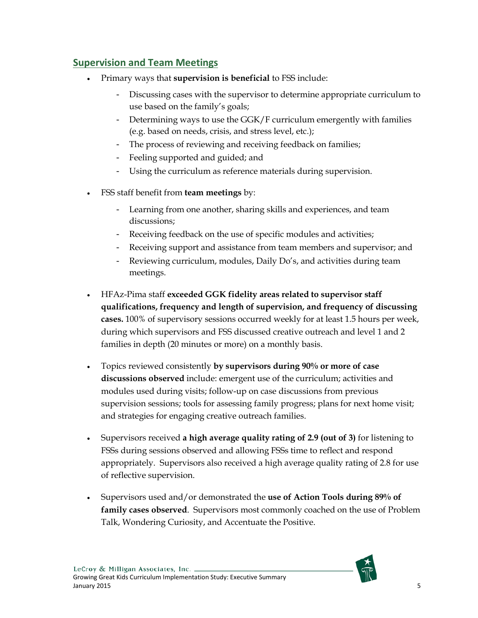#### **Supervision and Team Meetings**

- Primary ways that **supervision is beneficial** to FSS include:
	- Discussing cases with the supervisor to determine appropriate curriculum to use based on the family's goals;
	- Determining ways to use the GGK/F curriculum emergently with families (e.g. based on needs, crisis, and stress level, etc.);
	- The process of reviewing and receiving feedback on families;
	- Feeling supported and guided; and
	- Using the curriculum as reference materials during supervision.
- FSS staff benefit from **team meetings** by:
	- Learning from one another, sharing skills and experiences, and team discussions;
	- Receiving feedback on the use of specific modules and activities;
	- Receiving support and assistance from team members and supervisor; and
	- Reviewing curriculum, modules, Daily Do's, and activities during team meetings.
- HFAz-Pima staff **exceeded GGK fidelity areas related to supervisor staff qualifications, frequency and length of supervision, and frequency of discussing cases.** 100% of supervisory sessions occurred weekly for at least 1.5 hours per week, during which supervisors and FSS discussed creative outreach and level 1 and 2 families in depth (20 minutes or more) on a monthly basis.
- Topics reviewed consistently **by supervisors during 90% or more of case discussions observed** include: emergent use of the curriculum; activities and modules used during visits; follow-up on case discussions from previous supervision sessions; tools for assessing family progress; plans for next home visit; and strategies for engaging creative outreach families.
- Supervisors received **a high average quality rating of 2.9 (out of 3)** for listening to FSSs during sessions observed and allowing FSSs time to reflect and respond appropriately. Supervisors also received a high average quality rating of 2.8 for use of reflective supervision.
- Supervisors used and/or demonstrated the **use of Action Tools during 89% of family cases observed**. Supervisors most commonly coached on the use of Problem Talk, Wondering Curiosity, and Accentuate the Positive.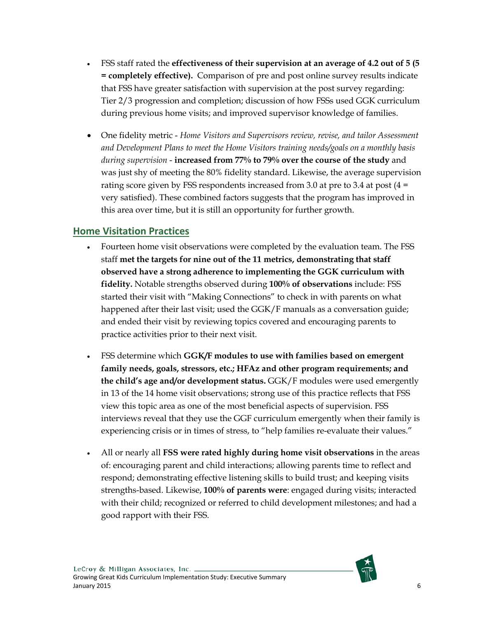- FSS staff rated the **effectiveness of their supervision at an average of 4.2 out of 5 (5 = completely effective).** Comparison of pre and post online survey results indicate that FSS have greater satisfaction with supervision at the post survey regarding: Tier 2/3 progression and completion; discussion of how FSSs used GGK curriculum during previous home visits; and improved supervisor knowledge of families.
- One fidelity metric *Home Visitors and Supervisors review, revise, and tailor Assessment and Development Plans to meet the Home Visitors training needs/goals on a monthly basis during supervision* - **increased from 77% to 79% over the course of the study** and was just shy of meeting the 80% fidelity standard. Likewise, the average supervision rating score given by FSS respondents increased from 3.0 at pre to 3.4 at post  $(4 =$ very satisfied). These combined factors suggests that the program has improved in this area over time, but it is still an opportunity for further growth.

#### **Home Visitation Practices**

- Fourteen home visit observations were completed by the evaluation team. The FSS staff **met the targets for nine out of the 11 metrics, demonstrating that staff observed have a strong adherence to implementing the GGK curriculum with fidelity.** Notable strengths observed during **100% of observations** include: FSS started their visit with "Making Connections" to check in with parents on what happened after their last visit; used the GGK/F manuals as a conversation guide; and ended their visit by reviewing topics covered and encouraging parents to practice activities prior to their next visit.
- FSS determine which **GGK/F modules to use with families based on emergent family needs, goals, stressors, etc.; HFAz and other program requirements; and the child's age and/or development status.** GGK/F modules were used emergently in 13 of the 14 home visit observations; strong use of this practice reflects that FSS view this topic area as one of the most beneficial aspects of supervision. FSS interviews reveal that they use the GGF curriculum emergently when their family is experiencing crisis or in times of stress, to "help families re-evaluate their values."
- All or nearly all **FSS were rated highly during home visit observations** in the areas of: encouraging parent and child interactions; allowing parents time to reflect and respond; demonstrating effective listening skills to build trust; and keeping visits strengths-based. Likewise, **100% of parents were**: engaged during visits; interacted with their child; recognized or referred to child development milestones; and had a good rapport with their FSS.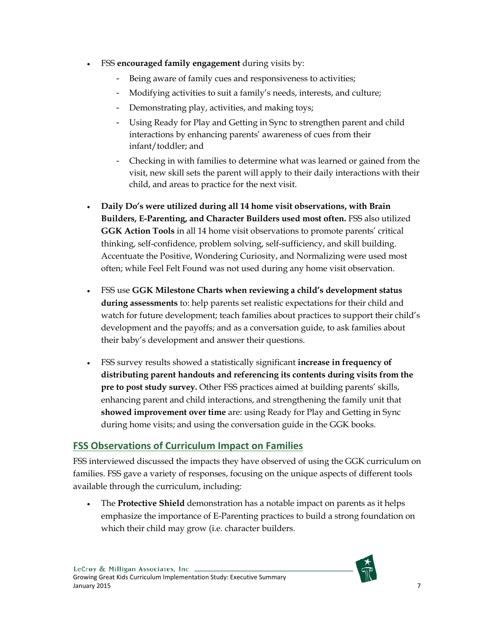- FSS **encouraged family engagement** during visits by:
	- Being aware of family cues and responsiveness to activities;
	- Modifying activities to suit a family's needs, interests, and culture;
	- Demonstrating play, activities, and making toys;
	- Using Ready for Play and Getting in Sync to strengthen parent and child interactions by enhancing parents' awareness of cues from their infant/toddler; and
	- Checking in with families to determine what was learned or gained from the visit, new skill sets the parent will apply to their daily interactions with their child, and areas to practice for the next visit.
- **Daily Do's were utilized during all 14 home visit observations, with Brain Builders, E-Parenting, and Character Builders used most often.** FSS also utilized **GGK Action Tools** in all 14 home visit observations to promote parents' critical thinking, self-confidence, problem solving, self-sufficiency, and skill building. Accentuate the Positive, Wondering Curiosity, and Normalizing were used most often; while Feel Felt Found was not used during any home visit observation.
- FSS use **GGK Milestone Charts when reviewing a child's development status during assessments** to: help parents set realistic expectations for their child and watch for future development; teach families about practices to support their child's development and the payoffs; and as a conversation guide, to ask families about their baby's development and answer their questions.
- FSS survey results showed a statistically significant **increase in frequency of distributing parent handouts and referencing its contents during visits from the pre to post study survey.** Other FSS practices aimed at building parents' skills, enhancing parent and child interactions, and strengthening the family unit that **showed improvement over time** are: using Ready for Play and Getting in Sync during home visits; and using the conversation guide in the GGK books.

### **FSS Observations of Curriculum Impact on Families**

FSS interviewed discussed the impacts they have observed of using the GGK curriculum on families. FSS gave a variety of responses, focusing on the unique aspects of different tools available through the curriculum, including:

• The **Protective Shield** demonstration has a notable impact on parents as it helps emphasize the importance of E-Parenting practices to build a strong foundation on which their child may grow (i.e. character builders.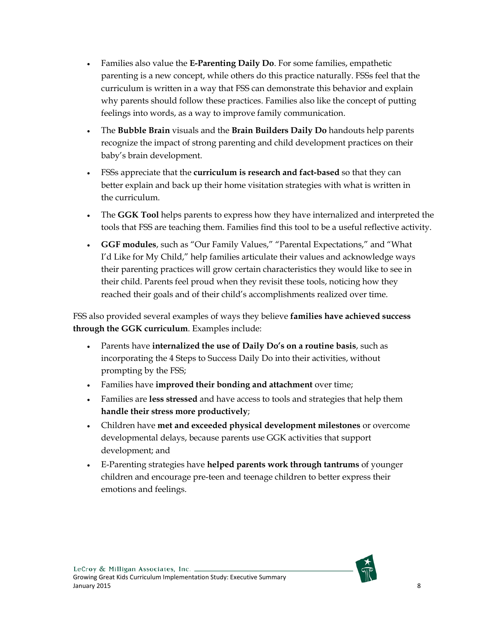- Families also value the **E-Parenting Daily Do**. For some families, empathetic parenting is a new concept, while others do this practice naturally. FSSs feel that the curriculum is written in a way that FSS can demonstrate this behavior and explain why parents should follow these practices. Families also like the concept of putting feelings into words, as a way to improve family communication.
- The **Bubble Brain** visuals and the **Brain Builders Daily Do** handouts help parents recognize the impact of strong parenting and child development practices on their baby's brain development.
- FSSs appreciate that the **curriculum is research and fact-based** so that they can better explain and back up their home visitation strategies with what is written in the curriculum.
- The **GGK Tool** helps parents to express how they have internalized and interpreted the tools that FSS are teaching them. Families find this tool to be a useful reflective activity.
- **GGF modules**, such as "Our Family Values," "Parental Expectations," and "What I'd Like for My Child," help families articulate their values and acknowledge ways their parenting practices will grow certain characteristics they would like to see in their child. Parents feel proud when they revisit these tools, noticing how they reached their goals and of their child's accomplishments realized over time.

FSS also provided several examples of ways they believe **families have achieved success through the GGK curriculum**. Examples include:

- Parents have **internalized the use of Daily Do's on a routine basis**, such as incorporating the 4 Steps to Success Daily Do into their activities, without prompting by the FSS;
- Families have **improved their bonding and attachment** over time;
- Families are **less stressed** and have access to tools and strategies that help them **handle their stress more productively**;
- Children have **met and exceeded physical development milestones** or overcome developmental delays, because parents use GGK activities that support development; and
- E-Parenting strategies have **helped parents work through tantrums** of younger children and encourage pre-teen and teenage children to better express their emotions and feelings.

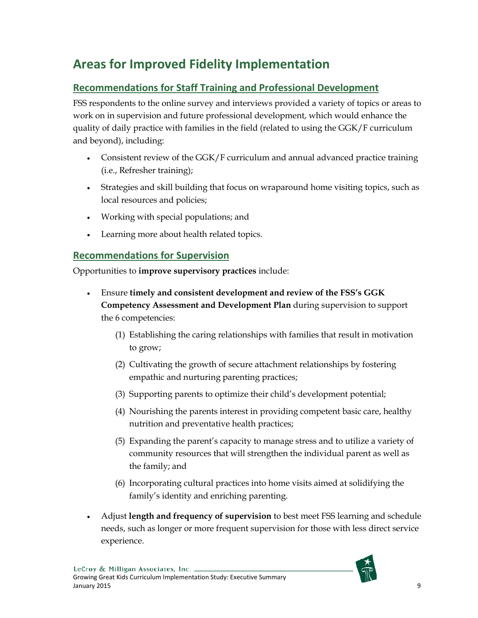# **Areas for Improved Fidelity Implementation**

### **Recommendations for Staff Training and Professional Development**

FSS respondents to the online survey and interviews provided a variety of topics or areas to work on in supervision and future professional development, which would enhance the quality of daily practice with families in the field (related to using the GGK/F curriculum and beyond), including:

- Consistent review of the GGK/F curriculum and annual advanced practice training (i.e., Refresher training);
- Strategies and skill building that focus on wraparound home visiting topics, such as local resources and policies;
- Working with special populations; and
- Learning more about health related topics.

### **Recommendations for Supervision**

Opportunities to **improve supervisory practices** include:

- Ensure **timely and consistent development and review of the FSS's GGK Competency Assessment and Development Plan** during supervision to support the 6 competencies:
	- (1) Establishing the caring relationships with families that result in motivation to grow;
	- (2) Cultivating the growth of secure attachment relationships by fostering empathic and nurturing parenting practices;
	- (3) Supporting parents to optimize their child's development potential;
	- (4) Nourishing the parents interest in providing competent basic care, healthy nutrition and preventative health practices;
	- (5) Expanding the parent's capacity to manage stress and to utilize a variety of community resources that will strengthen the individual parent as well as the family; and
	- (6) Incorporating cultural practices into home visits aimed at solidifying the family's identity and enriching parenting.
- Adjust **length and frequency of supervision** to best meet FSS learning and schedule needs, such as longer or more frequent supervision for those with less direct service experience.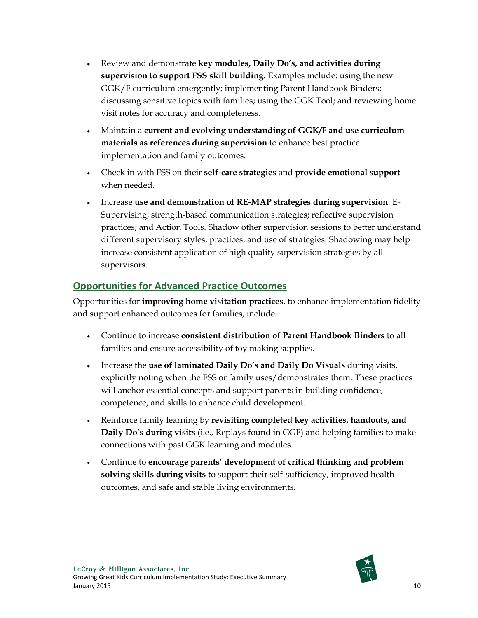- Review and demonstrate **key modules, Daily Do's, and activities during supervision to support FSS skill building.** Examples include: using the new GGK/F curriculum emergently; implementing Parent Handbook Binders; discussing sensitive topics with families; using the GGK Tool; and reviewing home visit notes for accuracy and completeness.
- Maintain a **current and evolving understanding of GGK/F and use curriculum materials as references during supervision** to enhance best practice implementation and family outcomes.
- Check in with FSS on their **self-care strategies** and **provide emotional support** when needed.
- Increase **use and demonstration of RE-MAP strategies during supervision**: E-Supervising; strength-based communication strategies; reflective supervision practices; and Action Tools. Shadow other supervision sessions to better understand different supervisory styles, practices, and use of strategies. Shadowing may help increase consistent application of high quality supervision strategies by all supervisors.

### **Opportunities for Advanced Practice Outcomes**

Opportunities for **improving home visitation practices**, to enhance implementation fidelity and support enhanced outcomes for families, include:

- Continue to increase **consistent distribution of Parent Handbook Binders** to all families and ensure accessibility of toy making supplies.
- Increase the **use of laminated Daily Do's and Daily Do Visuals** during visits, explicitly noting when the FSS or family uses/demonstrates them. These practices will anchor essential concepts and support parents in building confidence, competence, and skills to enhance child development.
- Reinforce family learning by **revisiting completed key activities, handouts, and Daily Do's during visits** (i.e., Replays found in GGF) and helping families to make connections with past GGK learning and modules.
- Continue to **encourage parents' development of critical thinking and problem solving skills during visits** to support their self-sufficiency, improved health outcomes, and safe and stable living environments.